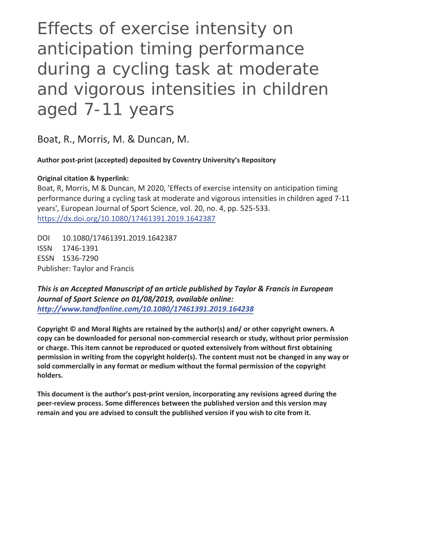Effects of exercise intensity on anticipation timing performance during a cycling task at moderate and vigorous intensities in children aged 7-11 years

Boat, R., Morris, M. & Duncan, M.

**Author post-print (accepted) deposited by Coventry University's Repository** 

# **Original citation & hyperlink:**

Boat, R, Morris, M & Duncan, M 2020, 'Effects of exercise intensity on anticipation timing performance during a cycling task at moderate and vigorous intensities in children aged 7-11 years', European Journal of Sport Science, vol. 20, no. 4, pp. 525-533. https://dx.doi.org/10.1080/17461391.2019.1642387

DOI 10.1080/17461391.2019.1642387 ISSN 1746-1391 ESSN 1536-7290 Publisher: Taylor and Francis

*This is an Accepted Manuscript of an article published by Taylor & Francis in European Journal of Sport Science on 01/08/2019, available online: http://www.tandfonline.com/10.1080/17461391.2019.164238*

**Copyright © and Moral Rights are retained by the author(s) and/ or other copyright owners. A copy can be downloaded for personal non-commercial research or study, without prior permission or charge. This item cannot be reproduced or quoted extensively from without first obtaining permission in writing from the copyright holder(s). The content must not be changed in any way or sold commercially in any format or medium without the formal permission of the copyright holders.** 

**This document is the author's post-print version, incorporating any revisions agreed during the peer-review process. Some differences between the published version and this version may remain and you are advised to consult the published version if you wish to cite from it.**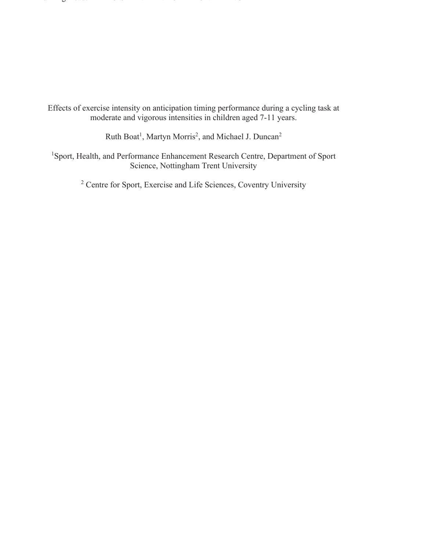Effects of exercise intensity on anticipation timing performance during a cycling task at moderate and vigorous intensities in children aged 7-11 years.

Running Head: EXERCISE AND ANTICIPATION TIMING

Ruth Boat<sup>1</sup>, Martyn Morris<sup>2</sup>, and Michael J. Duncan<sup>2</sup>

<sup>1</sup>Sport, Health, and Performance Enhancement Research Centre, Department of Sport Science, Nottingham Trent University

<sup>2</sup> Centre for Sport, Exercise and Life Sciences, Coventry University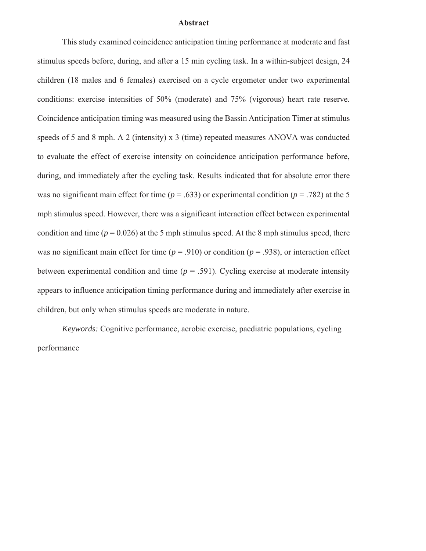#### **Abstract**

This study examined coincidence anticipation timing performance at moderate and fast stimulus speeds before, during, and after a 15 min cycling task. In a within-subject design, 24 children (18 males and 6 females) exercised on a cycle ergometer under two experimental conditions: exercise intensities of 50% (moderate) and 75% (vigorous) heart rate reserve. Coincidence anticipation timing was measured using the Bassin Anticipation Timer at stimulus speeds of 5 and 8 mph. A 2 (intensity) x 3 (time) repeated measures ANOVA was conducted to evaluate the effect of exercise intensity on coincidence anticipation performance before, during, and immediately after the cycling task. Results indicated that for absolute error there was no significant main effect for time ( $p = .633$ ) or experimental condition ( $p = .782$ ) at the 5 mph stimulus speed. However, there was a significant interaction effect between experimental condition and time ( $p = 0.026$ ) at the 5 mph stimulus speed. At the 8 mph stimulus speed, there was no significant main effect for time  $(p = .910)$  or condition  $(p = .938)$ , or interaction effect between experimental condition and time  $(p = .591)$ . Cycling exercise at moderate intensity appears to influence anticipation timing performance during and immediately after exercise in children, but only when stimulus speeds are moderate in nature.

*Keywords:* Cognitive performance, aerobic exercise, paediatric populations, cycling performance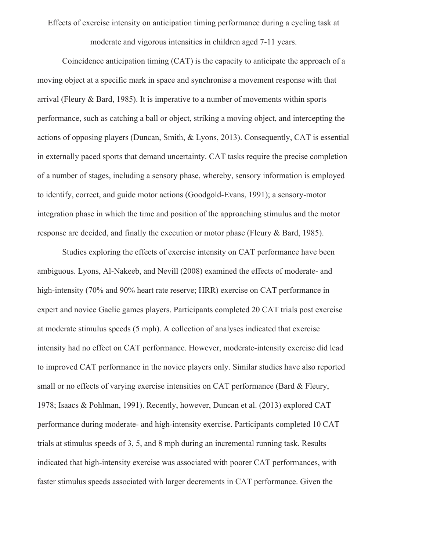Effects of exercise intensity on anticipation timing performance during a cycling task at moderate and vigorous intensities in children aged 7-11 years.

Coincidence anticipation timing (CAT) is the capacity to anticipate the approach of a moving object at a specific mark in space and synchronise a movement response with that arrival (Fleury & Bard, 1985). It is imperative to a number of movements within sports performance, such as catching a ball or object, striking a moving object, and intercepting the actions of opposing players (Duncan, Smith, & Lyons, 2013). Consequently, CAT is essential in externally paced sports that demand uncertainty. CAT tasks require the precise completion of a number of stages, including a sensory phase, whereby, sensory information is employed to identify, correct, and guide motor actions (Goodgold-Evans, 1991); a sensory-motor integration phase in which the time and position of the approaching stimulus and the motor response are decided, and finally the execution or motor phase (Fleury & Bard, 1985).

Studies exploring the effects of exercise intensity on CAT performance have been ambiguous. Lyons, Al-Nakeeb, and Nevill (2008) examined the effects of moderate- and high-intensity (70% and 90% heart rate reserve; HRR) exercise on CAT performance in expert and novice Gaelic games players. Participants completed 20 CAT trials post exercise at moderate stimulus speeds (5 mph). A collection of analyses indicated that exercise intensity had no effect on CAT performance. However, moderate-intensity exercise did lead to improved CAT performance in the novice players only. Similar studies have also reported small or no effects of varying exercise intensities on CAT performance (Bard & Fleury, 1978; Isaacs & Pohlman, 1991). Recently, however, Duncan et al. (2013) explored CAT performance during moderate- and high-intensity exercise. Participants completed 10 CAT trials at stimulus speeds of 3, 5, and 8 mph during an incremental running task. Results indicated that high-intensity exercise was associated with poorer CAT performances, with faster stimulus speeds associated with larger decrements in CAT performance. Given the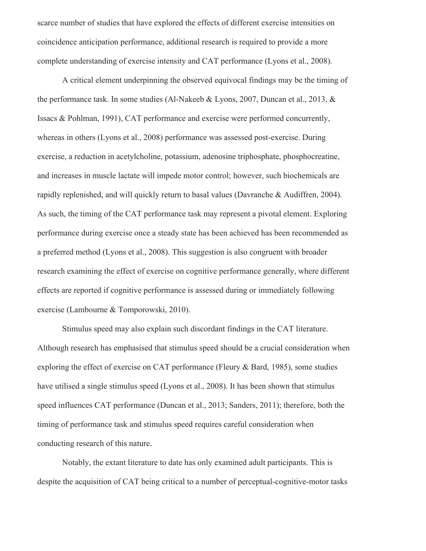scarce number of studies that have explored the effects of different exercise intensities on coincidence anticipation performance, additional research is required to provide a more complete understanding of exercise intensity and CAT performance (Lyons et al., 2008).

A critical element underpinning the observed equivocal findings may be the timing of the performance task. In some studies (Al-Nakeeb & Lyons, 2007, Duncan et al., 2013, & Issacs & Pohlman, 1991), CAT performance and exercise were performed concurrently, whereas in others (Lyons et al., 2008) performance was assessed post-exercise. During exercise, a reduction in acetylcholine, potassium, adenosine triphosphate, phosphocreatine, and increases in muscle lactate will impede motor control; however, such biochemicals are rapidly replenished, and will quickly return to basal values (Davranche & Audiffren, 2004). As such, the timing of the CAT performance task may represent a pivotal element. Exploring performance during exercise once a steady state has been achieved has been recommended as a preferred method (Lyons et al., 2008). This suggestion is also congruent with broader research examining the effect of exercise on cognitive performance generally, where different effects are reported if cognitive performance is assessed during or immediately following exercise (Lambourne & Tomporowski, 2010).

Stimulus speed may also explain such discordant findings in the CAT literature. Although research has emphasised that stimulus speed should be a crucial consideration when exploring the effect of exercise on CAT performance (Fleury & Bard, 1985), some studies have utilised a single stimulus speed (Lyons et al., 2008). It has been shown that stimulus speed influences CAT performance (Duncan et al., 2013; Sanders, 2011); therefore, both the timing of performance task and stimulus speed requires careful consideration when conducting research of this nature.

Notably, the extant literature to date has only examined adult participants. This is despite the acquisition of CAT being critical to a number of perceptual-cognitive-motor tasks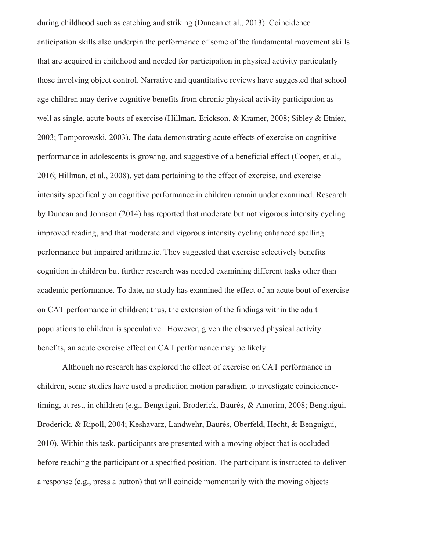during childhood such as catching and striking (Duncan et al., 2013). Coincidence anticipation skills also underpin the performance of some of the fundamental movement skills that are acquired in childhood and needed for participation in physical activity particularly those involving object control. Narrative and quantitative reviews have suggested that school age children may derive cognitive benefits from chronic physical activity participation as well as single, acute bouts of exercise (Hillman, Erickson, & Kramer, 2008; Sibley & Etnier, 2003; Tomporowski, 2003). The data demonstrating acute effects of exercise on cognitive performance in adolescents is growing, and suggestive of a beneficial effect (Cooper, et al., 2016; Hillman, et al., 2008), yet data pertaining to the effect of exercise, and exercise intensity specifically on cognitive performance in children remain under examined. Research by Duncan and Johnson (2014) has reported that moderate but not vigorous intensity cycling improved reading, and that moderate and vigorous intensity cycling enhanced spelling performance but impaired arithmetic. They suggested that exercise selectively benefits cognition in children but further research was needed examining different tasks other than academic performance. To date, no study has examined the effect of an acute bout of exercise on CAT performance in children; thus, the extension of the findings within the adult populations to children is speculative. However, given the observed physical activity benefits, an acute exercise effect on CAT performance may be likely.

Although no research has explored the effect of exercise on CAT performance in children, some studies have used a prediction motion paradigm to investigate coincidencetiming, at rest, in children (e.g., Benguigui, Broderick, Baurès, & Amorim, 2008; Benguigui. Broderick, & Ripoll, 2004; Keshavarz, Landwehr, Baurès, Oberfeld, Hecht, & Benguigui, 2010). Within this task, participants are presented with a moving object that is occluded before reaching the participant or a specified position. The participant is instructed to deliver a response (e.g., press a button) that will coincide momentarily with the moving objects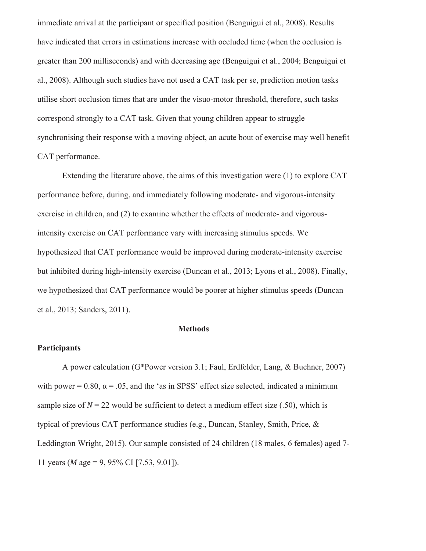immediate arrival at the participant or specified position (Benguigui et al., 2008). Results have indicated that errors in estimations increase with occluded time (when the occlusion is greater than 200 milliseconds) and with decreasing age (Benguigui et al., 2004; Benguigui et al., 2008). Although such studies have not used a CAT task per se, prediction motion tasks utilise short occlusion times that are under the visuo-motor threshold, therefore, such tasks correspond strongly to a CAT task. Given that young children appear to struggle synchronising their response with a moving object, an acute bout of exercise may well benefit CAT performance.

Extending the literature above, the aims of this investigation were (1) to explore CAT performance before, during, and immediately following moderate- and vigorous-intensity exercise in children, and (2) to examine whether the effects of moderate- and vigorousintensity exercise on CAT performance vary with increasing stimulus speeds. We hypothesized that CAT performance would be improved during moderate-intensity exercise but inhibited during high-intensity exercise (Duncan et al., 2013; Lyons et al., 2008). Finally, we hypothesized that CAT performance would be poorer at higher stimulus speeds (Duncan et al., 2013; Sanders, 2011).

#### **Methods**

## **Participants**

A power calculation (G\*Power version 3.1; Faul, Erdfelder, Lang, & Buchner, 2007) with power =  $0.80$ ,  $\alpha$  = .05, and the 'as in SPSS' effect size selected, indicated a minimum sample size of  $N = 22$  would be sufficient to detect a medium effect size (.50), which is typical of previous CAT performance studies (e.g., Duncan, Stanley, Smith, Price, & Leddington Wright, 2015). Our sample consisted of 24 children (18 males, 6 females) aged 7- 11 years (*M* age = 9, 95% CI [7.53, 9.01]).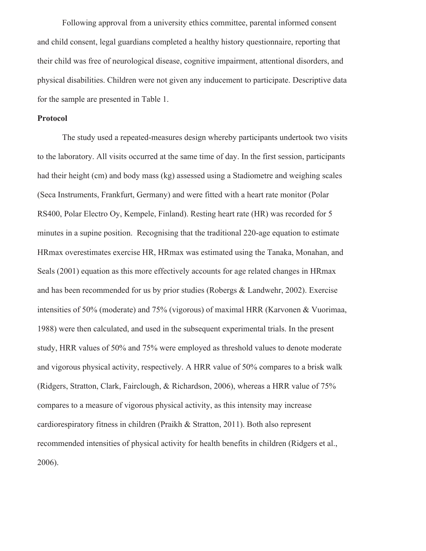Following approval from a university ethics committee, parental informed consent and child consent, legal guardians completed a healthy history questionnaire, reporting that their child was free of neurological disease, cognitive impairment, attentional disorders, and physical disabilities. Children were not given any inducement to participate. Descriptive data for the sample are presented in Table 1.

#### **Protocol**

 The study used a repeated-measures design whereby participants undertook two visits to the laboratory. All visits occurred at the same time of day. In the first session, participants had their height (cm) and body mass (kg) assessed using a Stadiometre and weighing scales (Seca Instruments, Frankfurt, Germany) and were fitted with a heart rate monitor (Polar RS400, Polar Electro Oy, Kempele, Finland). Resting heart rate (HR) was recorded for 5 minutes in a supine position. Recognising that the traditional 220-age equation to estimate HRmax overestimates exercise HR, HRmax was estimated using the Tanaka, Monahan, and Seals (2001) equation as this more effectively accounts for age related changes in HRmax and has been recommended for us by prior studies (Robergs & Landwehr, 2002). Exercise intensities of 50% (moderate) and 75% (vigorous) of maximal HRR (Karvonen & Vuorimaa, 1988) were then calculated, and used in the subsequent experimental trials. In the present study, HRR values of 50% and 75% were employed as threshold values to denote moderate and vigorous physical activity, respectively. A HRR value of 50% compares to a brisk walk (Ridgers, Stratton, Clark, Fairclough, & Richardson, 2006), whereas a HRR value of 75% compares to a measure of vigorous physical activity, as this intensity may increase cardiorespiratory fitness in children (Praikh & Stratton, 2011). Both also represent recommended intensities of physical activity for health benefits in children (Ridgers et al., 2006).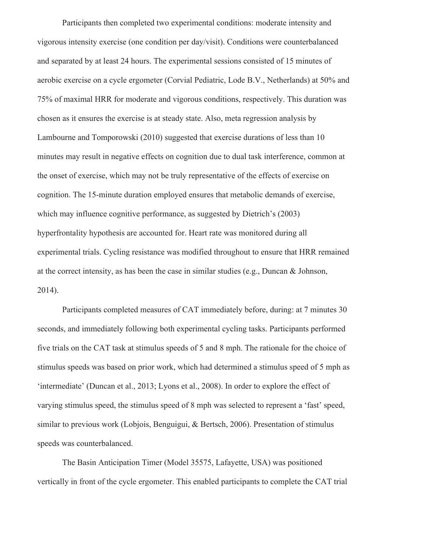Participants then completed two experimental conditions: moderate intensity and vigorous intensity exercise (one condition per day/visit). Conditions were counterbalanced and separated by at least 24 hours. The experimental sessions consisted of 15 minutes of aerobic exercise on a cycle ergometer (Corvial Pediatric, Lode B.V., Netherlands) at 50% and 75% of maximal HRR for moderate and vigorous conditions, respectively. This duration was chosen as it ensures the exercise is at steady state. Also, meta regression analysis by Lambourne and Tomporowski (2010) suggested that exercise durations of less than 10 minutes may result in negative effects on cognition due to dual task interference, common at the onset of exercise, which may not be truly representative of the effects of exercise on cognition. The 15-minute duration employed ensures that metabolic demands of exercise, which may influence cognitive performance, as suggested by Dietrich's (2003) hyperfrontality hypothesis are accounted for. Heart rate was monitored during all experimental trials. Cycling resistance was modified throughout to ensure that HRR remained at the correct intensity, as has been the case in similar studies (e.g., Duncan & Johnson, 2014).

Participants completed measures of CAT immediately before, during: at 7 minutes 30 seconds, and immediately following both experimental cycling tasks. Participants performed five trials on the CAT task at stimulus speeds of 5 and 8 mph. The rationale for the choice of stimulus speeds was based on prior work, which had determined a stimulus speed of 5 mph as 'intermediate' (Duncan et al., 2013; Lyons et al., 2008). In order to explore the effect of varying stimulus speed, the stimulus speed of 8 mph was selected to represent a 'fast' speed, similar to previous work (Lobjois, Benguigui, & Bertsch, 2006). Presentation of stimulus speeds was counterbalanced.

The Basin Anticipation Timer (Model 35575, Lafayette, USA) was positioned vertically in front of the cycle ergometer. This enabled participants to complete the CAT trial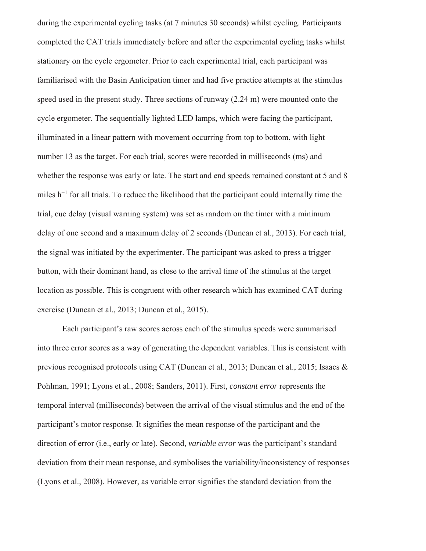during the experimental cycling tasks (at 7 minutes 30 seconds) whilst cycling. Participants completed the CAT trials immediately before and after the experimental cycling tasks whilst stationary on the cycle ergometer. Prior to each experimental trial, each participant was familiarised with the Basin Anticipation timer and had five practice attempts at the stimulus speed used in the present study. Three sections of runway (2.24 m) were mounted onto the cycle ergometer. The sequentially lighted LED lamps, which were facing the participant, illuminated in a linear pattern with movement occurring from top to bottom, with light number 13 as the target. For each trial, scores were recorded in milliseconds (ms) and whether the response was early or late. The start and end speeds remained constant at 5 and 8 miles h<sup>-1</sup> for all trials. To reduce the likelihood that the participant could internally time the trial, cue delay (visual warning system) was set as random on the timer with a minimum delay of one second and a maximum delay of 2 seconds (Duncan et al., 2013). For each trial, the signal was initiated by the experimenter. The participant was asked to press a trigger button, with their dominant hand, as close to the arrival time of the stimulus at the target location as possible. This is congruent with other research which has examined CAT during exercise (Duncan et al., 2013; Duncan et al., 2015).

 Each participant's raw scores across each of the stimulus speeds were summarised into three error scores as a way of generating the dependent variables. This is consistent with previous recognised protocols using CAT (Duncan et al., 2013; Duncan et al., 2015; Isaacs & Pohlman, 1991; Lyons et al., 2008; Sanders, 2011). First, *constant error* represents the temporal interval (milliseconds) between the arrival of the visual stimulus and the end of the participant's motor response. It signifies the mean response of the participant and the direction of error (i.e., early or late). Second, *variable error* was the participant's standard deviation from their mean response, and symbolises the variability/inconsistency of responses (Lyons et al., 2008). However, as variable error signifies the standard deviation from the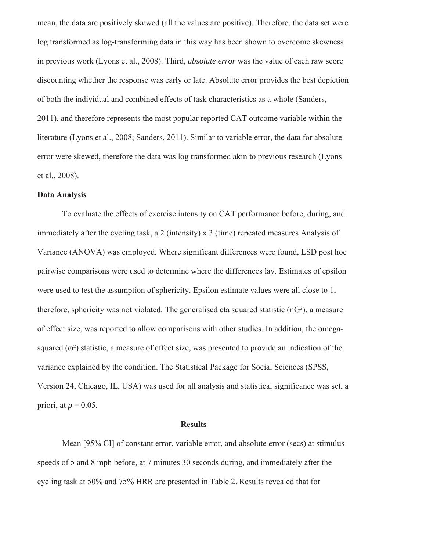mean, the data are positively skewed (all the values are positive). Therefore, the data set were log transformed as log-transforming data in this way has been shown to overcome skewness in previous work (Lyons et al., 2008). Third, *absolute error* was the value of each raw score discounting whether the response was early or late. Absolute error provides the best depiction of both the individual and combined effects of task characteristics as a whole (Sanders, 2011), and therefore represents the most popular reported CAT outcome variable within the literature (Lyons et al., 2008; Sanders, 2011). Similar to variable error, the data for absolute error were skewed, therefore the data was log transformed akin to previous research (Lyons et al., 2008).

## **Data Analysis**

To evaluate the effects of exercise intensity on CAT performance before, during, and immediately after the cycling task, a 2 (intensity) x 3 (time) repeated measures Analysis of Variance (ANOVA) was employed. Where significant differences were found, LSD post hoc pairwise comparisons were used to determine where the differences lay. Estimates of epsilon were used to test the assumption of sphericity. Epsilon estimate values were all close to 1, therefore, sphericity was not violated. The generalised eta squared statistic  $(\eta G^2)$ , a measure of effect size, was reported to allow comparisons with other studies. In addition, the omegasquared  $(\omega^2)$  statistic, a measure of effect size, was presented to provide an indication of the variance explained by the condition. The Statistical Package for Social Sciences (SPSS, Version 24, Chicago, IL, USA) was used for all analysis and statistical significance was set, a priori, at  $p = 0.05$ .

## **Results**

Mean [95% CI] of constant error, variable error, and absolute error (secs) at stimulus speeds of 5 and 8 mph before, at 7 minutes 30 seconds during, and immediately after the cycling task at 50% and 75% HRR are presented in Table 2. Results revealed that for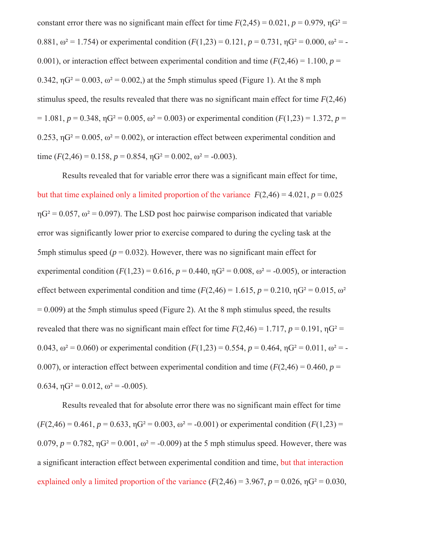constant error there was no significant main effect for time  $F(2,45) = 0.021$ ,  $p = 0.979$ ,  $pG^2 =$ 0.881,  $\omega^2 = 1.754$ ) or experimental condition  $(F(1,23) = 0.121, p = 0.731, \eta G^2 = 0.000, \omega^2 = -1.754$ 0.001), or interaction effect between experimental condition and time  $(F(2, 46) = 1.100, p =$ 0.342,  $\eta$ G<sup>2</sup> = 0.003,  $\omega$ <sup>2</sup> = 0.002,) at the 5mph stimulus speed (Figure 1). At the 8 mph stimulus speed, the results revealed that there was no significant main effect for time *F*(2,46)  $= 1.081, p = 0.348, \eta G^2 = 0.005, \omega^2 = 0.003$  or experimental condition ( $F(1,23) = 1.372, p = 1.372$ ) 0.253,  $\eta$ G<sup>2</sup> = 0.005,  $\omega$ <sup>2</sup> = 0.002), or interaction effect between experimental condition and time  $(F(2,46) = 0.158, p = 0.854, \eta G^2 = 0.002, \omega^2 = -0.003)$ .

Results revealed that for variable error there was a significant main effect for time, but that time explained only a limited proportion of the variance  $F(2,46) = 4.021$ ,  $p = 0.025$  $\eta$ G<sup>2</sup> = 0.057,  $\omega$ <sup>2</sup> = 0.097). The LSD post hoc pairwise comparison indicated that variable error was significantly lower prior to exercise compared to during the cycling task at the 5mph stimulus speed  $(p = 0.032)$ . However, there was no significant main effect for experimental condition  $(F(1,23) = 0.616, p = 0.440, \eta G^2 = 0.008, \omega^2 = -0.005)$ , or interaction effect between experimental condition and time  $(F(2,46) = 1.615, p = 0.210, \eta G^2 = 0.015, \omega^2$  $= 0.009$ ) at the 5mph stimulus speed (Figure 2). At the 8 mph stimulus speed, the results revealed that there was no significant main effect for time  $F(2,46) = 1.717$ ,  $p = 0.191$ ,  $pG^2 =$ 0.043,  $\omega^2 = 0.060$ ) or experimental condition  $(F(1,23) = 0.554, p = 0.464, \eta G^2 = 0.011, \omega^2 = -$ 0.007), or interaction effect between experimental condition and time  $(F(2, 46) = 0.460, p = 0.460)$ 0.634,  $\eta$ G<sup>2</sup> = 0.012, ω<sup>2</sup> = -0.005).

Results revealed that for absolute error there was no significant main effect for time  $(F(2,46) = 0.461, p = 0.633, \eta G^2 = 0.003, \omega^2 = -0.001)$  or experimental condition  $(F(1,23))$ 0.079,  $p = 0.782$ ,  $\eta$ G<sup>2</sup> = 0.001,  $\omega$ <sup>2</sup> = -0.009) at the 5 mph stimulus speed. However, there was a significant interaction effect between experimental condition and time, but that interaction explained only a limited proportion of the variance  $(F(2,46) = 3.967, p = 0.026, \eta G^2 = 0.030,$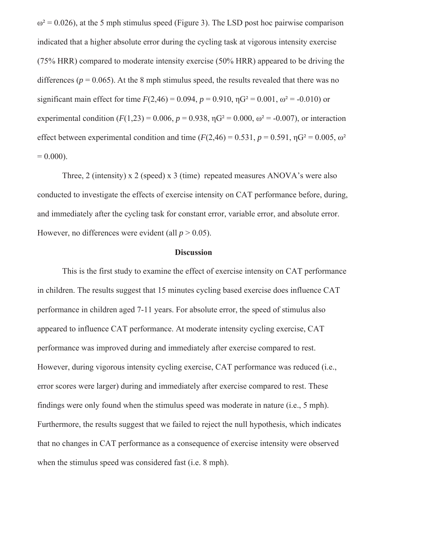$\omega^2$  = 0.026), at the 5 mph stimulus speed (Figure 3). The LSD post hoc pairwise comparison indicated that a higher absolute error during the cycling task at vigorous intensity exercise (75% HRR) compared to moderate intensity exercise (50% HRR) appeared to be driving the differences ( $p = 0.065$ ). At the 8 mph stimulus speed, the results revealed that there was no significant main effect for time  $F(2,46) = 0.094$ ,  $p = 0.910$ ,  $qG^2 = 0.001$ ,  $\omega^2 = -0.010$ ) or experimental condition  $(F(1,23) = 0.006, p = 0.938, \eta G^2 = 0.000, \omega^2 = -0.007)$ , or interaction effect between experimental condition and time  $(F(2,46) = 0.531, p = 0.591, \eta G^2 = 0.005, \omega^2$  $= 0.000$ ).

Three, 2 (intensity) x 2 (speed) x 3 (time) repeated measures ANOVA's were also conducted to investigate the effects of exercise intensity on CAT performance before, during, and immediately after the cycling task for constant error, variable error, and absolute error. However, no differences were evident (all  $p > 0.05$ ).

# **Discussion**

This is the first study to examine the effect of exercise intensity on CAT performance in children. The results suggest that 15 minutes cycling based exercise does influence CAT performance in children aged 7-11 years. For absolute error, the speed of stimulus also appeared to influence CAT performance. At moderate intensity cycling exercise, CAT performance was improved during and immediately after exercise compared to rest. However, during vigorous intensity cycling exercise, CAT performance was reduced (i.e., error scores were larger) during and immediately after exercise compared to rest. These findings were only found when the stimulus speed was moderate in nature (i.e., 5 mph). Furthermore, the results suggest that we failed to reject the null hypothesis, which indicates that no changes in CAT performance as a consequence of exercise intensity were observed when the stimulus speed was considered fast (i.e. 8 mph).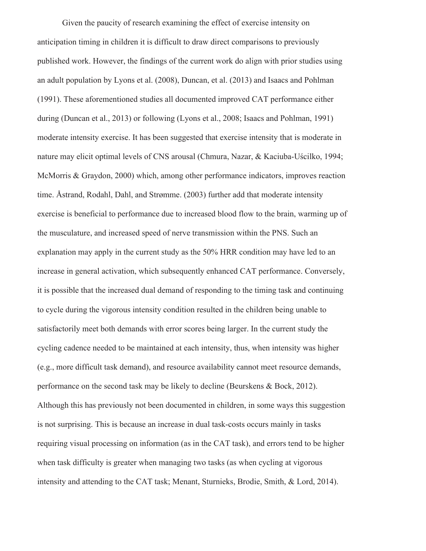Given the paucity of research examining the effect of exercise intensity on anticipation timing in children it is difficult to draw direct comparisons to previously published work. However, the findings of the current work do align with prior studies using an adult population by Lyons et al. (2008), Duncan, et al. (2013) and Isaacs and Pohlman (1991). These aforementioned studies all documented improved CAT performance either during (Duncan et al., 2013) or following (Lyons et al., 2008; Isaacs and Pohlman, 1991) moderate intensity exercise. It has been suggested that exercise intensity that is moderate in nature may elicit optimal levels of CNS arousal (Chmura, Nazar, & Kaciuba-Uścilko, 1994; McMorris & Graydon, 2000) which, among other performance indicators, improves reaction time. Åstrand, Rodahl, Dahl, and Strømme. (2003) further add that moderate intensity exercise is beneficial to performance due to increased blood flow to the brain, warming up of the musculature, and increased speed of nerve transmission within the PNS. Such an explanation may apply in the current study as the 50% HRR condition may have led to an increase in general activation, which subsequently enhanced CAT performance. Conversely, it is possible that the increased dual demand of responding to the timing task and continuing to cycle during the vigorous intensity condition resulted in the children being unable to satisfactorily meet both demands with error scores being larger. In the current study the cycling cadence needed to be maintained at each intensity, thus, when intensity was higher (e.g., more difficult task demand), and resource availability cannot meet resource demands, performance on the second task may be likely to decline (Beurskens & Bock, 2012). Although this has previously not been documented in children, in some ways this suggestion is not surprising. This is because an increase in dual task-costs occurs mainly in tasks requiring visual processing on information (as in the CAT task), and errors tend to be higher when task difficulty is greater when managing two tasks (as when cycling at vigorous intensity and attending to the CAT task; Menant, Sturnieks, Brodie, Smith, & Lord, 2014).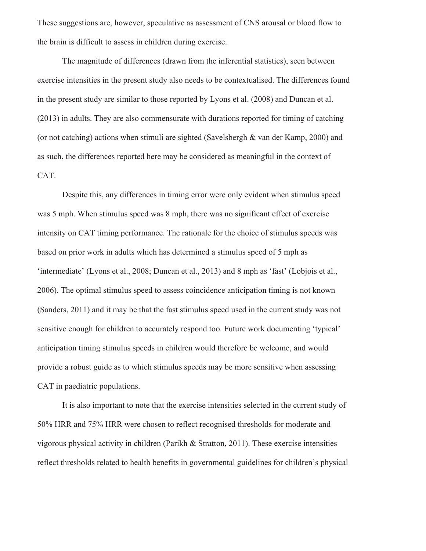These suggestions are, however, speculative as assessment of CNS arousal or blood flow to the brain is difficult to assess in children during exercise.

The magnitude of differences (drawn from the inferential statistics), seen between exercise intensities in the present study also needs to be contextualised. The differences found in the present study are similar to those reported by Lyons et al. (2008) and Duncan et al. (2013) in adults. They are also commensurate with durations reported for timing of catching (or not catching) actions when stimuli are sighted (Savelsbergh & van der Kamp, 2000) and as such, the differences reported here may be considered as meaningful in the context of CAT.

Despite this, any differences in timing error were only evident when stimulus speed was 5 mph. When stimulus speed was 8 mph, there was no significant effect of exercise intensity on CAT timing performance. The rationale for the choice of stimulus speeds was based on prior work in adults which has determined a stimulus speed of 5 mph as 'intermediate' (Lyons et al., 2008; Duncan et al., 2013) and 8 mph as 'fast' (Lobjois et al., 2006). The optimal stimulus speed to assess coincidence anticipation timing is not known (Sanders, 2011) and it may be that the fast stimulus speed used in the current study was not sensitive enough for children to accurately respond too. Future work documenting 'typical' anticipation timing stimulus speeds in children would therefore be welcome, and would provide a robust guide as to which stimulus speeds may be more sensitive when assessing CAT in paediatric populations.

It is also important to note that the exercise intensities selected in the current study of 50% HRR and 75% HRR were chosen to reflect recognised thresholds for moderate and vigorous physical activity in children (Parikh & Stratton, 2011). These exercise intensities reflect thresholds related to health benefits in governmental guidelines for children's physical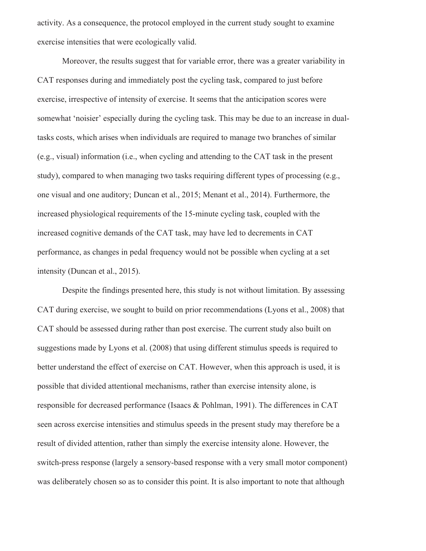activity. As a consequence, the protocol employed in the current study sought to examine exercise intensities that were ecologically valid.

Moreover, the results suggest that for variable error, there was a greater variability in CAT responses during and immediately post the cycling task, compared to just before exercise, irrespective of intensity of exercise. It seems that the anticipation scores were somewhat 'noisier' especially during the cycling task. This may be due to an increase in dualtasks costs, which arises when individuals are required to manage two branches of similar (e.g., visual) information (i.e., when cycling and attending to the CAT task in the present study), compared to when managing two tasks requiring different types of processing (e.g., one visual and one auditory; Duncan et al., 2015; Menant et al., 2014). Furthermore, the increased physiological requirements of the 15-minute cycling task, coupled with the increased cognitive demands of the CAT task, may have led to decrements in CAT performance, as changes in pedal frequency would not be possible when cycling at a set intensity (Duncan et al., 2015).

Despite the findings presented here, this study is not without limitation. By assessing CAT during exercise, we sought to build on prior recommendations (Lyons et al., 2008) that CAT should be assessed during rather than post exercise. The current study also built on suggestions made by Lyons et al. (2008) that using different stimulus speeds is required to better understand the effect of exercise on CAT. However, when this approach is used, it is possible that divided attentional mechanisms, rather than exercise intensity alone, is responsible for decreased performance (Isaacs & Pohlman, 1991). The differences in CAT seen across exercise intensities and stimulus speeds in the present study may therefore be a result of divided attention, rather than simply the exercise intensity alone. However, the switch-press response (largely a sensory-based response with a very small motor component) was deliberately chosen so as to consider this point. It is also important to note that although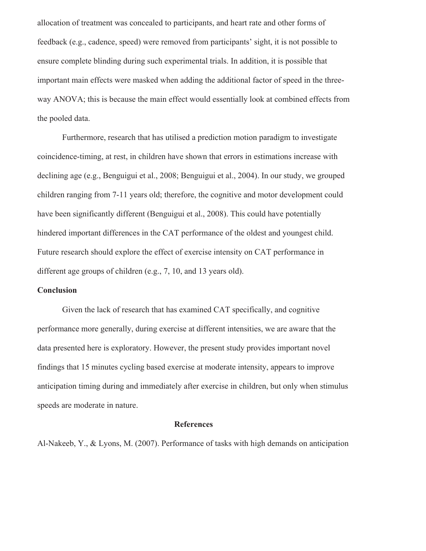allocation of treatment was concealed to participants, and heart rate and other forms of feedback (e.g., cadence, speed) were removed from participants' sight, it is not possible to ensure complete blinding during such experimental trials. In addition, it is possible that important main effects were masked when adding the additional factor of speed in the threeway ANOVA; this is because the main effect would essentially look at combined effects from the pooled data.

Furthermore, research that has utilised a prediction motion paradigm to investigate coincidence-timing, at rest, in children have shown that errors in estimations increase with declining age (e.g., Benguigui et al., 2008; Benguigui et al., 2004). In our study, we grouped children ranging from 7-11 years old; therefore, the cognitive and motor development could have been significantly different (Benguigui et al., 2008). This could have potentially hindered important differences in the CAT performance of the oldest and youngest child. Future research should explore the effect of exercise intensity on CAT performance in different age groups of children (e.g., 7, 10, and 13 years old).

#### **Conclusion**

Given the lack of research that has examined CAT specifically, and cognitive performance more generally, during exercise at different intensities, we are aware that the data presented here is exploratory. However, the present study provides important novel findings that 15 minutes cycling based exercise at moderate intensity, appears to improve anticipation timing during and immediately after exercise in children, but only when stimulus speeds are moderate in nature.

## **References**

Al-Nakeeb, Y., & Lyons, M. (2007). Performance of tasks with high demands on anticipation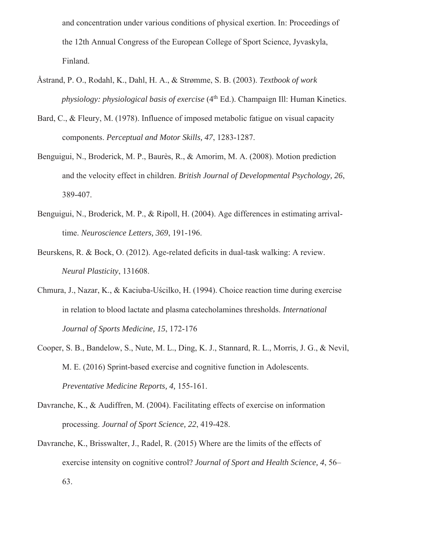and concentration under various conditions of physical exertion. In: Proceedings of the 12th Annual Congress of the European College of Sport Science, Jyvaskyla, Finland.

- Åstrand, P. O., Rodahl, K., Dahl, H. A., & Strømme, S. B. (2003). *Textbook of work physiology: physiological basis of exercise* (4<sup>th</sup> Ed.). Champaign Ill: Human Kinetics.
- Bard, C., & Fleury, M. (1978). Influence of imposed metabolic fatigue on visual capacity components. *Perceptual and Motor Skills, 47*, 1283-1287.
- Benguigui, N., Broderick, M. P., Baurès, R., & Amorim, M. A. (2008). Motion prediction and the velocity effect in children. *British Journal of Developmental Psychology, 26*, 389-407.
- Benguigui, N., Broderick, M. P., & Ripoll, H. (2004). Age differences in estimating arrivaltime. *Neuroscience Letters, 369*, 191-196.
- Beurskens, R. & Bock, O. (2012). Age-related deficits in dual-task walking: A review. *Neural Plasticity*, 131608.
- Chmura, J., Nazar, K., & Kaciuba-Uścilko, H. (1994). Choice reaction time during exercise in relation to blood lactate and plasma catecholamines thresholds. *International Journal of Sports Medicine, 15*, 172-176
- Cooper, S. B., Bandelow, S., Nute, M. L., Ding, K. J., Stannard, R. L., Morris, J. G., & Nevil, M. E. (2016) Sprint-based exercise and cognitive function in Adolescents. *Preventative Medicine Reports, 4,* 155-161.
- Davranche, K., & Audiffren, M. (2004). Facilitating effects of exercise on information processing. *Journal of Sport Science, 22*, 419-428.
- Davranche, K., Brisswalter, J., Radel, R. (2015) Where are the limits of the effects of exercise intensity on cognitive control? *Journal of Sport and Health Science, 4*, 56– 63.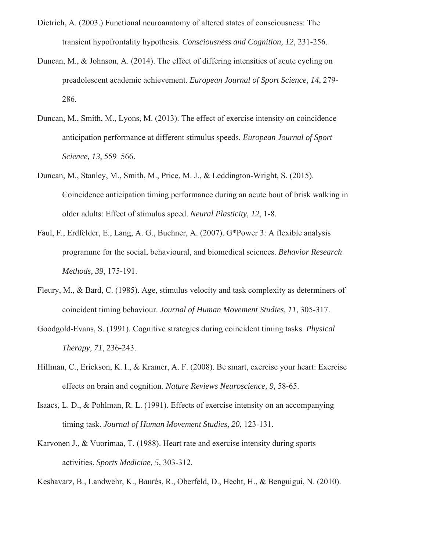- Dietrich, A. (2003.) Functional neuroanatomy of altered states of consciousness: The transient hypofrontality hypothesis*. Consciousness and Cognition, 12*, 231-256.
- Duncan, M., & Johnson, A. (2014). The effect of differing intensities of acute cycling on preadolescent academic achievement. *European Journal of Sport Science, 14*, 279- 286.
- Duncan, M., Smith, M., Lyons, M. (2013). The effect of exercise intensity on coincidence anticipation performance at different stimulus speeds. *European Journal of Sport Science, 13,* 559–566.
- Duncan, M., Stanley, M., Smith, M., Price, M. J., & Leddington-Wright, S. (2015). Coincidence anticipation timing performance during an acute bout of brisk walking in older adults: Effect of stimulus speed. *Neural Plasticity, 12*, 1-8.
- Faul, F., Erdfelder, E., Lang, A. G., Buchner, A. (2007). G\*Power 3: A flexible analysis programme for the social, behavioural, and biomedical sciences. *Behavior Research Methods, 39*, 175-191.
- Fleury, M., & Bard, C. (1985). Age, stimulus velocity and task complexity as determiners of coincident timing behaviour. *Journal of Human Movement Studies, 11*, 305-317.
- Goodgold-Evans, S. (1991). Cognitive strategies during coincident timing tasks. *Physical Therapy, 71*, 236-243.
- Hillman, C., Erickson, K. I., & Kramer, A. F. (2008). Be smart, exercise your heart: Exercise effects on brain and cognition. *Nature Reviews Neuroscience, 9,* 58-65.
- Isaacs, L. D., & Pohlman, R. L. (1991). Effects of exercise intensity on an accompanying timing task. *Journal of Human Movement Studies, 20*, 123-131.
- Karvonen J., & Vuorimaa, T. (1988). Heart rate and exercise intensity during sports activities. *Sports Medicine, 5,* 303-312.
- Keshavarz, B., Landwehr, K., Baurès, R., Oberfeld, D., Hecht, H., & Benguigui, N. (2010).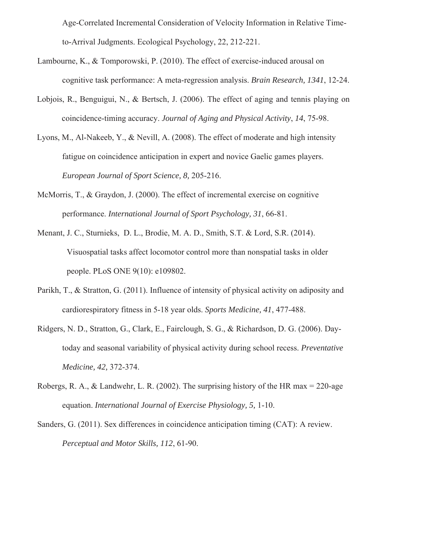Age-Correlated Incremental Consideration of Velocity Information in Relative Timeto-Arrival Judgments. Ecological Psychology, 22, 212-221.

- Lambourne, K., & Tomporowski, P. (2010). The effect of exercise-induced arousal on cognitive task performance: A meta-regression analysis. *Brain Research, 1341*, 12-24.
- Lobjois, R., Benguigui, N., & Bertsch, J. (2006). The effect of aging and tennis playing on coincidence-timing accuracy. *Journal of Aging and Physical Activity*, *14*, 75-98.
- Lyons, M., Al-Nakeeb, Y., & Nevill, A. (2008). The effect of moderate and high intensity fatigue on coincidence anticipation in expert and novice Gaelic games players. *European Journal of Sport Science, 8,* 205-216.
- McMorris, T., & Graydon, J. (2000). The effect of incremental exercise on cognitive performance. *International Journal of Sport Psychology, 31*, 66-81.
- Menant, J. C., Sturnieks, D. L., Brodie, M. A. D., Smith, S.T. & Lord, S.R. (2014). Visuospatial tasks affect locomotor control more than nonspatial tasks in older people. PLoS ONE 9(10): e109802.
- Parikh, T., & Stratton, G. (2011). Influence of intensity of physical activity on adiposity and cardiorespiratory fitness in 5-18 year olds. *Sports Medicine, 41*, 477-488.
- Ridgers, N. D., Stratton, G., Clark, E., Fairclough, S. G., & Richardson, D. G. (2006). Daytoday and seasonal variability of physical activity during school recess. *Preventative Medicine, 42,* 372-374.
- Robergs, R. A., & Landwehr, L. R. (2002). The surprising history of the HR max = 220-age equation. *International Journal of Exercise Physiology, 5,* 1-10.
- Sanders, G. (2011). Sex differences in coincidence anticipation timing (CAT): A review. *Perceptual and Motor Skills, 112*, 61-90.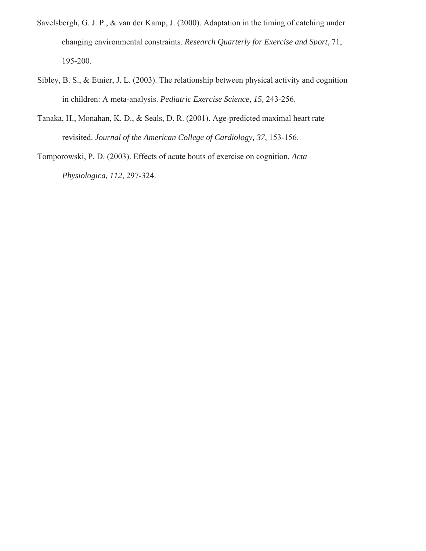- Savelsbergh, G. J. P., & van der Kamp, J. (2000). Adaptation in the timing of catching under changing environmental constraints. *Research Quarterly for Exercise and Sport*, 71, 195-200.
- Sibley, B. S., & Etnier, J. L. (2003). The relationship between physical activity and cognition in children: A meta-analysis. *Pediatric Exercise Science, 15,* 243-256.
- Tanaka, H., Monahan, K. D., & Seals, D. R. (2001). Age-predicted maximal heart rate revisited. *Journal of the American College of Cardiology, 37*, 153-156.

Tomporowski, P. D. (2003). Effects of acute bouts of exercise on cognition*. Acta Physiologica, 112*, 297-324.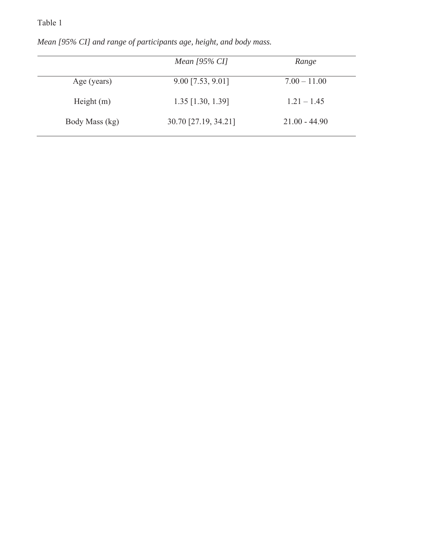# Table 1

|                | Mean $[95\%$ CI]       | Range           |
|----------------|------------------------|-----------------|
| Age (years)    | $9.00$ [7.53, $9.01$ ] | $7.00 - 11.00$  |
| Height $(m)$   | $1.35$ [1.30, 1.39]    | $1.21 - 1.45$   |
| Body Mass (kg) | 30.70 [27.19, 34.21]   | $21.00 - 44.90$ |

*Mean [95% CI] and range of participants age, height, and body mass.*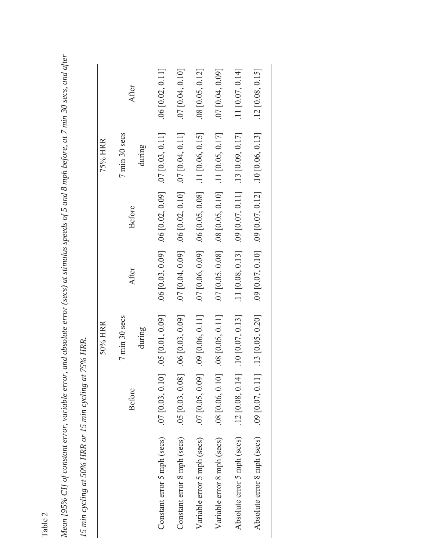|                                                | 75% HRR | After<br>7 min 30 secs<br>Before | during | $.06$ [0.02, 0.11]<br>$.06$ [0.03, 0.09] $.06$ [0.02, 0.09] $.07$ [0.03, 0.11] | [0.10, 0.10]<br>$07 [0.04, 0.09]$ . 06 $[0.02, 0.10]$ . 07 $[0.04, 0.11]$ | .08 [0.05, 0.12]<br>.11 [0.06, 0.15]<br>.06 [0.05, 0.08] | [0.04, 0.09]<br>$.11$ [0.05, 0.17]<br>$.08$ [0.05, 0.10] | [11, 0.07, 0.14]<br>.13 [0.09, 0.17]<br>$.09$ [0.07, 0.11] | [0.08, 0.15]<br>$.09$ [0.07, 0.12] $.10$ [0.06, 0.13] |
|------------------------------------------------|---------|----------------------------------|--------|--------------------------------------------------------------------------------|---------------------------------------------------------------------------|----------------------------------------------------------|----------------------------------------------------------|------------------------------------------------------------|-------------------------------------------------------|
|                                                |         |                                  |        |                                                                                |                                                                           |                                                          |                                                          |                                                            |                                                       |
|                                                |         | After                            |        |                                                                                |                                                                           | $.07$ [0.06, 0.09]                                       | $.07$ [0.05. 0.08]                                       | $.11$ [0.08, 0.13]                                         | 0.09 [0.07, 0.10]                                     |
| 75% HRR.                                       | 50% HRR | 7 min 30 secs                    | during | .05 [0.01, 0.09]                                                               | 06 [0.03, 0.09]                                                           | $.09$ [0.06, 0.11]                                       | $[0.08 \, [0.05, 0.11]$                                  | [0.07, 0.13]                                               | [0.05, 0.20]                                          |
|                                                |         | <b>Before</b>                    |        | [0.07, 0.03, 0.10]                                                             | $.05$ [0.03, 0.08]                                                        | $.07$ [0.05, 0.09]                                       | .08 [0.06, 0.10]                                         | .12 [0.08, 0.14]                                           | .09 [0.07, 0.11]                                      |
| 15 min cycling at 50% HRR or 15 min cycling at |         |                                  |        | Constant error 5 mph (secs)                                                    | Constant error 8 mph (secs)                                               | Variable error 5 mph (secs)                              | Variable error 8 mph (secs)                              | Absolute error 5 mph (secs)                                | Absolute error 8 mph (secs)                           |

Mean [95% CI] of constant error, variable error, and absolute error (secs) at stimulus speeds of 5 and 8 mph before, at 7 min 30 secs, and after *Mean [95% CI] of constant error, variable error, and absolute error (secs) at stimulus speeds of 5 and 8 mph before, at 7 min 30 secs, and after* 

| נ ה |  |
|-----|--|
| .,  |  |
| ۳   |  |
|     |  |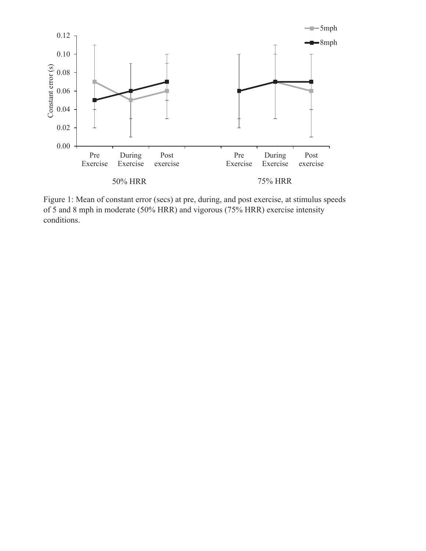

Figure 1: Mean of constant error (secs) at pre, during, and post exercise, at stimulus speeds of 5 and 8 mph in moderate (50% HRR) and vigorous (75% HRR) exercise intensity conditions.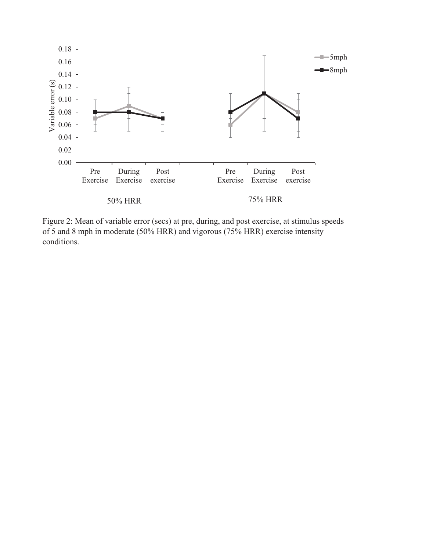

Figure 2: Mean of variable error (secs) at pre, during, and post exercise, at stimulus speeds of 5 and 8 mph in moderate (50% HRR) and vigorous (75% HRR) exercise intensity conditions.